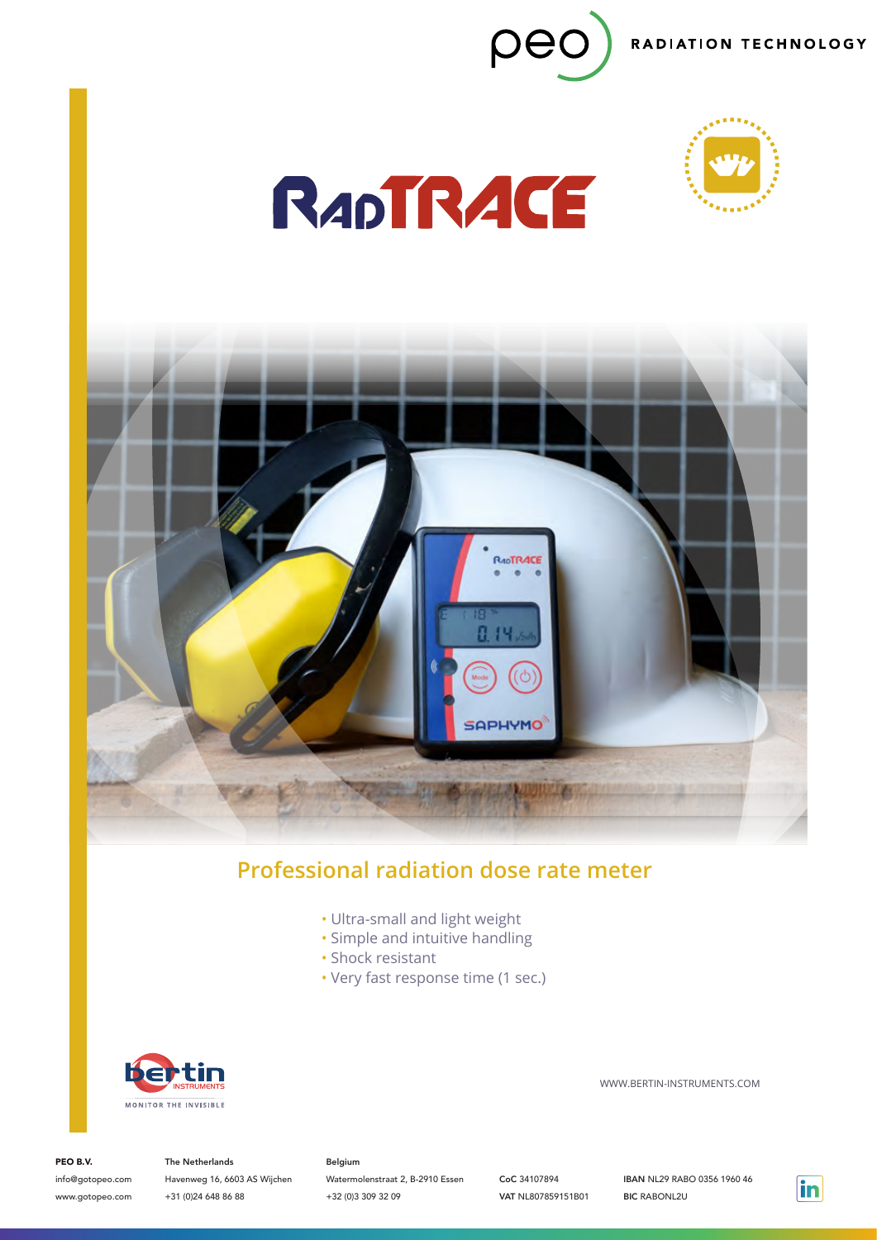









# **Professional radiation dose rate meter**

- Ultra-small and light weight
- Simple and intuitive handling
- Shock resistant
- Very fast response time (1 sec.)



WWW.BERTIN-INSTRUMENTS.COM

PEO B.V.

info@gotopeo.com www.gotopeo.com

The Netherlands Havenweg 16, 6603 AS Wijchen +31 (0)24 648 86 88

#### Belgium

Watermolenstraat 2, B-2910 Essen +32 (0)3 309 32 09

CoC 34107894 VAT NL807859151B01 IBAN NL29 RABO 0356 1960 46 BIC RABONL2U